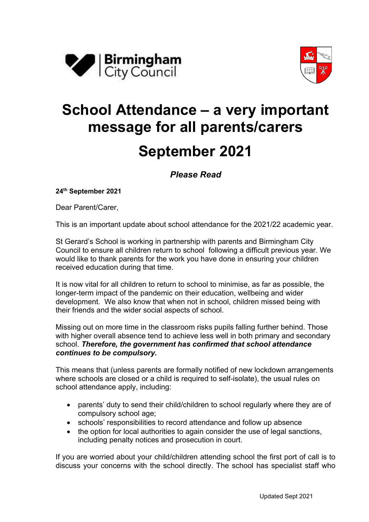



## **School Attendance – a very important message for all parents/carers September 2021**

*Please Read*

**24th September 2021** 

Dear Parent/Carer,

This is an important update about school attendance for the 2021/22 academic year.

St Gerard's School is working in partnership with parents and Birmingham City Council to ensure all children return to school following a difficult previous year. We would like to thank parents for the work you have done in ensuring your children received education during that time.

It is now vital for all children to return to school to minimise, as far as possible, the longer-term impact of the pandemic on their education, wellbeing and wider development. We also know that when not in school, children missed being with their friends and the wider social aspects of school.

Missing out on more time in the classroom risks pupils falling further behind. Those with higher overall absence tend to achieve less well in both primary and secondary school. *Therefore, the government has confirmed that school attendance continues to be compulsory.*

This means that (unless parents are formally notified of new lockdown arrangements where schools are closed or a child is required to self-isolate), the usual rules on school attendance apply, including:

- parents' duty to send their child/children to school regularly where they are of compulsory school age;
- schools' responsibilities to record attendance and follow up absence
- the option for local authorities to again consider the use of legal sanctions, including penalty notices and prosecution in court.

If you are worried about your child/children attending school the first port of call is to discuss your concerns with the school directly. The school has specialist staff who